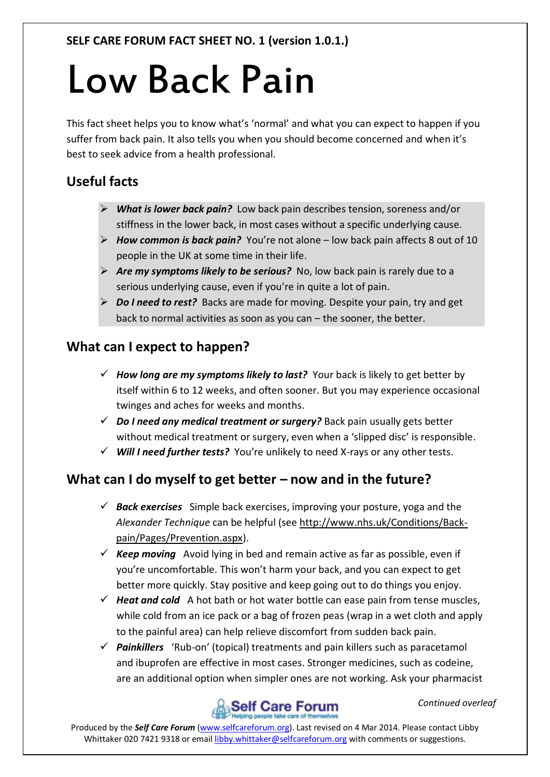# Low Back Pain

This fact sheet helps you to know what's 'normal' and what you can expect to happen if you suffer from back pain. It also tells you when you should become concerned and when it's best to seek advice from a health professional.

## **Useful facts**

- *What is lower back pain?* Low back pain describes tension, soreness and/or stiffness in the lower back, in most cases without a specific underlying cause.
- *How common is back pain?* You're not alone low back pain affects 8 out of 10 people in the UK at some time in their life.
- *Are my symptoms likely to be serious?* No, low back pain is rarely due to a serious underlying cause, even if you're in quite a lot of pain.
- *Do I need to rest?* Backs are made for moving. Despite your pain, try and get back to normal activities as soon as you can – the sooner, the better.

#### **What can I expect to happen?**

- *How long are my symptoms likely to last?* Your back is likely to get better by itself within 6 to 12 weeks, and often sooner. But you may experience occasional twinges and aches for weeks and months.
- *Do I need any medical treatment or surgery?* Back pain usually gets better without medical treatment or surgery, even when a 'slipped disc' is responsible.
- *Will I need further tests?* You're unlikely to need X-rays or any other tests.

### **What can I do myself to get better – now and in the future?**

- *Back exercises* Simple back exercises, improving your posture, yoga and the *Alexander Technique* can be helpful (see [http://www.nhs.uk/Conditions/Back](http://www.nhs.uk/Conditions/Back-pain/Pages/Prevention.aspx)[pain/Pages/Prevention.aspx\)](http://www.nhs.uk/Conditions/Back-pain/Pages/Prevention.aspx).
- $\checkmark$  **Keep moving** Avoid lying in bed and remain active as far as possible, even if you're uncomfortable. This won't harm your back, and you can expect to get better more quickly. Stay positive and keep going out to do things you enjoy.
- $\checkmark$  Heat and cold A hot bath or hot water bottle can ease pain from tense muscles, while cold from an ice pack or a bag of frozen peas (wrap in a wet cloth and apply to the painful area) can help relieve discomfort from sudden back pain.
- *Painkillers* 'Rub-on' (topical) treatments and pain killers such as paracetamol and ibuprofen are effective in most cases. Stronger medicines, such as codeine, are an additional option when simpler ones are not working. Ask your pharmacist



*Continued overleaf*

Produced by the *Self Care Forum* [\(www.selfcareforum.org\)](http://www.selfcareforum.org/). Last revised on 4 Mar 2014. Please contact Libby Whittaker 020 7421 9318 or emai[l libby.whittaker@selfcareforum.org](mailto:libby.whittaker@selfcareforum.org) with comments or suggestions.